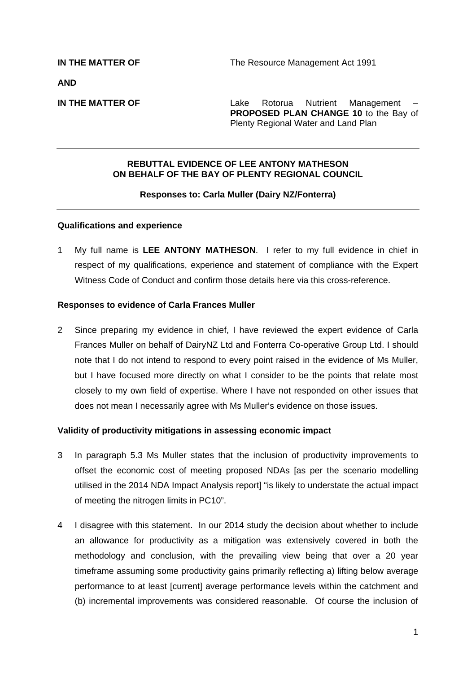**AND** 

**IN THE MATTER OF THE SERVICE 2018** Lake Rotorua Nutrient Management **PROPOSED PLAN CHANGE 10** to the Bay of Plenty Regional Water and Land Plan

# **REBUTTAL EVIDENCE OF LEE ANTONY MATHESON ON BEHALF OF THE BAY OF PLENTY REGIONAL COUNCIL**

## **Responses to: Carla Muller (Dairy NZ/Fonterra)**

## **Qualifications and experience**

1 My full name is **LEE ANTONY MATHESON**. I refer to my full evidence in chief in respect of my qualifications, experience and statement of compliance with the Expert Witness Code of Conduct and confirm those details here via this cross-reference.

### **Responses to evidence of Carla Frances Muller**

2 Since preparing my evidence in chief, I have reviewed the expert evidence of Carla Frances Muller on behalf of DairyNZ Ltd and Fonterra Co-operative Group Ltd. I should note that I do not intend to respond to every point raised in the evidence of Ms Muller, but I have focused more directly on what I consider to be the points that relate most closely to my own field of expertise. Where I have not responded on other issues that does not mean I necessarily agree with Ms Muller's evidence on those issues.

## **Validity of productivity mitigations in assessing economic impact**

- 3 In paragraph 5.3 Ms Muller states that the inclusion of productivity improvements to offset the economic cost of meeting proposed NDAs [as per the scenario modelling utilised in the 2014 NDA Impact Analysis report] "is likely to understate the actual impact of meeting the nitrogen limits in PC10".
- 4 I disagree with this statement. In our 2014 study the decision about whether to include an allowance for productivity as a mitigation was extensively covered in both the methodology and conclusion, with the prevailing view being that over a 20 year timeframe assuming some productivity gains primarily reflecting a) lifting below average performance to at least [current] average performance levels within the catchment and (b) incremental improvements was considered reasonable. Of course the inclusion of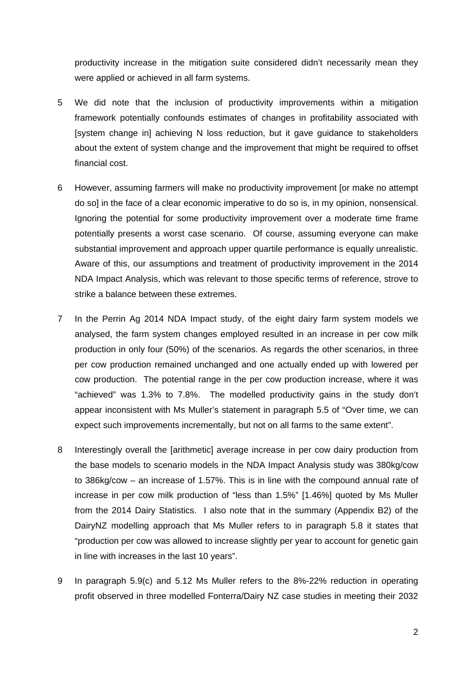productivity increase in the mitigation suite considered didn't necessarily mean they were applied or achieved in all farm systems.

- 5 We did note that the inclusion of productivity improvements within a mitigation framework potentially confounds estimates of changes in profitability associated with [system change in] achieving N loss reduction, but it gave guidance to stakeholders about the extent of system change and the improvement that might be required to offset financial cost.
- 6 However, assuming farmers will make no productivity improvement [or make no attempt do so] in the face of a clear economic imperative to do so is, in my opinion, nonsensical. Ignoring the potential for some productivity improvement over a moderate time frame potentially presents a worst case scenario. Of course, assuming everyone can make substantial improvement and approach upper quartile performance is equally unrealistic. Aware of this, our assumptions and treatment of productivity improvement in the 2014 NDA Impact Analysis, which was relevant to those specific terms of reference, strove to strike a balance between these extremes.
- 7 In the Perrin Ag 2014 NDA Impact study, of the eight dairy farm system models we analysed, the farm system changes employed resulted in an increase in per cow milk production in only four (50%) of the scenarios. As regards the other scenarios, in three per cow production remained unchanged and one actually ended up with lowered per cow production. The potential range in the per cow production increase, where it was "achieved" was 1.3% to 7.8%. The modelled productivity gains in the study don't appear inconsistent with Ms Muller's statement in paragraph 5.5 of "Over time, we can expect such improvements incrementally, but not on all farms to the same extent".
- 8 Interestingly overall the [arithmetic] average increase in per cow dairy production from the base models to scenario models in the NDA Impact Analysis study was 380kg/cow to 386kg/cow – an increase of 1.57%. This is in line with the compound annual rate of increase in per cow milk production of "less than 1.5%" [1.46%] quoted by Ms Muller from the 2014 Dairy Statistics. I also note that in the summary (Appendix B2) of the DairyNZ modelling approach that Ms Muller refers to in paragraph 5.8 it states that "production per cow was allowed to increase slightly per year to account for genetic gain in line with increases in the last 10 years".
- 9 In paragraph 5.9(c) and 5.12 Ms Muller refers to the 8%-22% reduction in operating profit observed in three modelled Fonterra/Dairy NZ case studies in meeting their 2032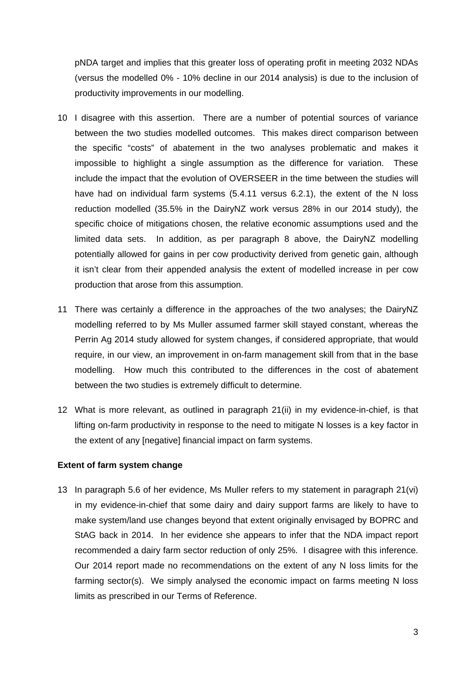pNDA target and implies that this greater loss of operating profit in meeting 2032 NDAs (versus the modelled 0% - 10% decline in our 2014 analysis) is due to the inclusion of productivity improvements in our modelling.

- 10 I disagree with this assertion. There are a number of potential sources of variance between the two studies modelled outcomes. This makes direct comparison between the specific "costs" of abatement in the two analyses problematic and makes it impossible to highlight a single assumption as the difference for variation. These include the impact that the evolution of OVERSEER in the time between the studies will have had on individual farm systems (5.4.11 versus 6.2.1), the extent of the N loss reduction modelled (35.5% in the DairyNZ work versus 28% in our 2014 study), the specific choice of mitigations chosen, the relative economic assumptions used and the limited data sets. In addition, as per paragraph 8 above, the DairyNZ modelling potentially allowed for gains in per cow productivity derived from genetic gain, although it isn't clear from their appended analysis the extent of modelled increase in per cow production that arose from this assumption.
- 11 There was certainly a difference in the approaches of the two analyses; the DairyNZ modelling referred to by Ms Muller assumed farmer skill stayed constant, whereas the Perrin Ag 2014 study allowed for system changes, if considered appropriate, that would require, in our view, an improvement in on-farm management skill from that in the base modelling. How much this contributed to the differences in the cost of abatement between the two studies is extremely difficult to determine.
- 12 What is more relevant, as outlined in paragraph 21(ii) in my evidence-in-chief, is that lifting on-farm productivity in response to the need to mitigate N losses is a key factor in the extent of any [negative] financial impact on farm systems.

# **Extent of farm system change**

13 In paragraph 5.6 of her evidence, Ms Muller refers to my statement in paragraph 21(vi) in my evidence-in-chief that some dairy and dairy support farms are likely to have to make system/land use changes beyond that extent originally envisaged by BOPRC and StAG back in 2014. In her evidence she appears to infer that the NDA impact report recommended a dairy farm sector reduction of only 25%. I disagree with this inference. Our 2014 report made no recommendations on the extent of any N loss limits for the farming sector(s). We simply analysed the economic impact on farms meeting N loss limits as prescribed in our Terms of Reference.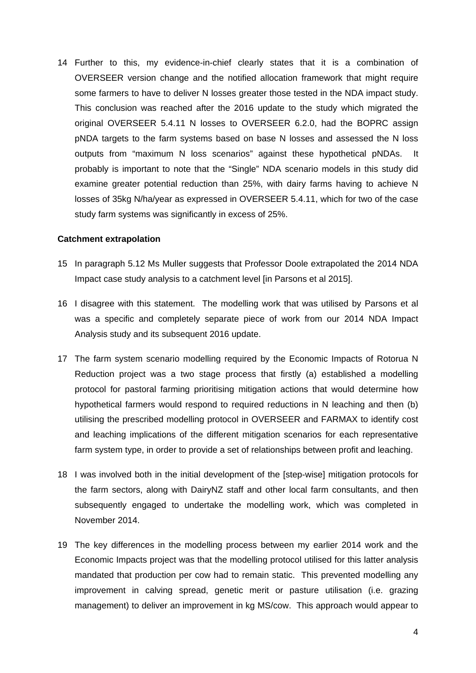14 Further to this, my evidence-in-chief clearly states that it is a combination of OVERSEER version change and the notified allocation framework that might require some farmers to have to deliver N losses greater those tested in the NDA impact study. This conclusion was reached after the 2016 update to the study which migrated the original OVERSEER 5.4.11 N losses to OVERSEER 6.2.0, had the BOPRC assign pNDA targets to the farm systems based on base N losses and assessed the N loss outputs from "maximum N loss scenarios" against these hypothetical pNDAs. It probably is important to note that the "Single" NDA scenario models in this study did examine greater potential reduction than 25%, with dairy farms having to achieve N losses of 35kg N/ha/year as expressed in OVERSEER 5.4.11, which for two of the case study farm systems was significantly in excess of 25%.

#### **Catchment extrapolation**

- 15 In paragraph 5.12 Ms Muller suggests that Professor Doole extrapolated the 2014 NDA Impact case study analysis to a catchment level [in Parsons et al 2015].
- 16 I disagree with this statement. The modelling work that was utilised by Parsons et al was a specific and completely separate piece of work from our 2014 NDA Impact Analysis study and its subsequent 2016 update.
- 17 The farm system scenario modelling required by the Economic Impacts of Rotorua N Reduction project was a two stage process that firstly (a) established a modelling protocol for pastoral farming prioritising mitigation actions that would determine how hypothetical farmers would respond to required reductions in N leaching and then (b) utilising the prescribed modelling protocol in OVERSEER and FARMAX to identify cost and leaching implications of the different mitigation scenarios for each representative farm system type, in order to provide a set of relationships between profit and leaching.
- 18 I was involved both in the initial development of the [step-wise] mitigation protocols for the farm sectors, along with DairyNZ staff and other local farm consultants, and then subsequently engaged to undertake the modelling work, which was completed in November 2014.
- 19 The key differences in the modelling process between my earlier 2014 work and the Economic Impacts project was that the modelling protocol utilised for this latter analysis mandated that production per cow had to remain static. This prevented modelling any improvement in calving spread, genetic merit or pasture utilisation (i.e. grazing management) to deliver an improvement in kg MS/cow. This approach would appear to